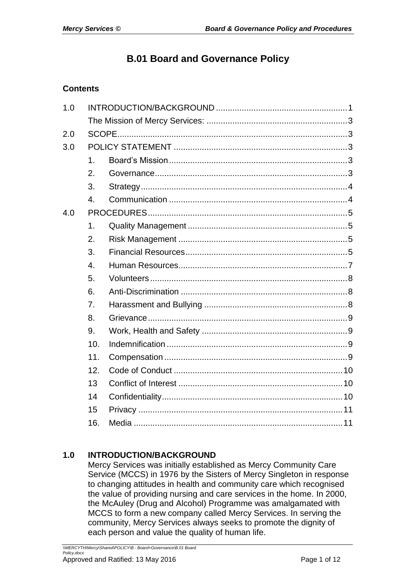# **B.01 Board and Governance Policy**

## **Contents**

| 1.0 |                  |  |  |  |  |  |  |  |
|-----|------------------|--|--|--|--|--|--|--|
|     |                  |  |  |  |  |  |  |  |
| 2.0 |                  |  |  |  |  |  |  |  |
| 3.0 |                  |  |  |  |  |  |  |  |
|     | 1 <sub>1</sub>   |  |  |  |  |  |  |  |
|     | 2.               |  |  |  |  |  |  |  |
|     | 3.               |  |  |  |  |  |  |  |
|     | $\overline{4}$ . |  |  |  |  |  |  |  |
| 4.0 |                  |  |  |  |  |  |  |  |
|     | 1.               |  |  |  |  |  |  |  |
|     | 2.               |  |  |  |  |  |  |  |
|     | 3.               |  |  |  |  |  |  |  |
|     | $\overline{4}$ . |  |  |  |  |  |  |  |
|     | 5.               |  |  |  |  |  |  |  |
|     | 6.               |  |  |  |  |  |  |  |
|     | 7.               |  |  |  |  |  |  |  |
|     | 8.               |  |  |  |  |  |  |  |
|     | 9.               |  |  |  |  |  |  |  |
|     | 10.              |  |  |  |  |  |  |  |
|     | 11.              |  |  |  |  |  |  |  |
|     | 12.              |  |  |  |  |  |  |  |
|     | 13               |  |  |  |  |  |  |  |
|     | 14               |  |  |  |  |  |  |  |
|     | 15               |  |  |  |  |  |  |  |
|     | 16.              |  |  |  |  |  |  |  |

## <span id="page-0-0"></span>**1.0 INTRODUCTION/BACKGROUND**

Mercy Services was initially established as Mercy Community Care Service (MCCS) in 1976 by the Sisters of Mercy Singleton in response to changing attitudes in health and community care which recognised the value of providing nursing and care services in the home. In 2000, the McAuley (Drug and Alcohol) Programme was amalgamated with MCCS to form a new company called Mercy Services. In serving the community, Mercy Services always seeks to promote the dignity of each person and value the quality of human life.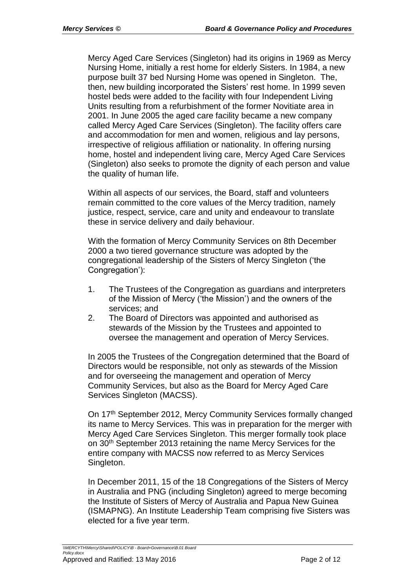Mercy Aged Care Services (Singleton) had its origins in 1969 as Mercy Nursing Home, initially a rest home for elderly Sisters. In 1984, a new purpose built 37 bed Nursing Home was opened in Singleton. The, then, new building incorporated the Sisters' rest home. In 1999 seven hostel beds were added to the facility with four Independent Living Units resulting from a refurbishment of the former Novitiate area in 2001. In June 2005 the aged care facility became a new company called Mercy Aged Care Services (Singleton). The facility offers care and accommodation for men and women, religious and lay persons, irrespective of religious affiliation or nationality. In offering nursing home, hostel and independent living care, Mercy Aged Care Services (Singleton) also seeks to promote the dignity of each person and value the quality of human life.

Within all aspects of our services, the Board, staff and volunteers remain committed to the core values of the Mercy tradition, namely justice, respect, service, care and unity and endeavour to translate these in service delivery and daily behaviour.

With the formation of Mercy Community Services on 8th December 2000 a two tiered governance structure was adopted by the congregational leadership of the Sisters of Mercy Singleton ('the Congregation'):

- 1. The Trustees of the Congregation as guardians and interpreters of the Mission of Mercy ('the Mission') and the owners of the services; and
- 2. The Board of Directors was appointed and authorised as stewards of the Mission by the Trustees and appointed to oversee the management and operation of Mercy Services.

In 2005 the Trustees of the Congregation determined that the Board of Directors would be responsible, not only as stewards of the Mission and for overseeing the management and operation of Mercy Community Services, but also as the Board for Mercy Aged Care Services Singleton (MACSS).

On 17<sup>th</sup> September 2012, Mercy Community Services formally changed its name to Mercy Services. This was in preparation for the merger with Mercy Aged Care Services Singleton. This merger formally took place on 30<sup>th</sup> September 2013 retaining the name Mercy Services for the entire company with MACSS now referred to as Mercy Services Singleton.

In December 2011, 15 of the 18 Congregations of the Sisters of Mercy in Australia and PNG (including Singleton) agreed to merge becoming the Institute of Sisters of Mercy of Australia and Papua New Guinea (ISMAPNG). An Institute Leadership Team comprising five Sisters was elected for a five year term.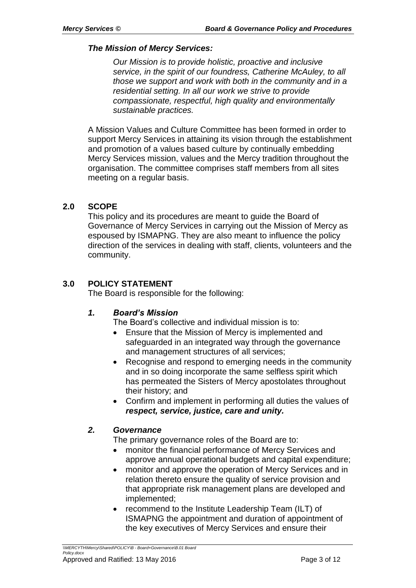#### <span id="page-2-0"></span>*The Mission of Mercy Services:*

*Our Mission is to provide holistic, proactive and inclusive service, in the spirit of our foundress, Catherine McAuley, to all those we support and work with both in the community and in a residential setting. In all our work we strive to provide compassionate, respectful, high quality and environmentally sustainable practices.*

A Mission Values and Culture Committee has been formed in order to support Mercy Services in attaining its vision through the establishment and promotion of a values based culture by continually embedding Mercy Services mission, values and the Mercy tradition throughout the organisation. The committee comprises staff members from all sites meeting on a regular basis.

### <span id="page-2-1"></span>**2.0 SCOPE**

This policy and its procedures are meant to guide the Board of Governance of Mercy Services in carrying out the Mission of Mercy as espoused by ISMAPNG. They are also meant to influence the policy direction of the services in dealing with staff, clients, volunteers and the community.

### <span id="page-2-2"></span>**3.0 POLICY STATEMENT**

The Board is responsible for the following:

#### <span id="page-2-3"></span>*1. Board's Mission*

The Board's collective and individual mission is to:

- Ensure that the Mission of Mercy is implemented and safeguarded in an integrated way through the governance and management structures of all services;
- Recognise and respond to emerging needs in the community and in so doing incorporate the same selfless spirit which has permeated the Sisters of Mercy apostolates throughout their history; and
- Confirm and implement in performing all duties the values of *respect, service, justice, care and unity.*

#### <span id="page-2-4"></span>*2. Governance*

The primary governance roles of the Board are to:

- monitor the financial performance of Mercy Services and approve annual operational budgets and capital expenditure;
- monitor and approve the operation of Mercy Services and in relation thereto ensure the quality of service provision and that appropriate risk management plans are developed and implemented;
- recommend to the Institute Leadership Team (ILT) of ISMAPNG the appointment and duration of appointment of the key executives of Mercy Services and ensure their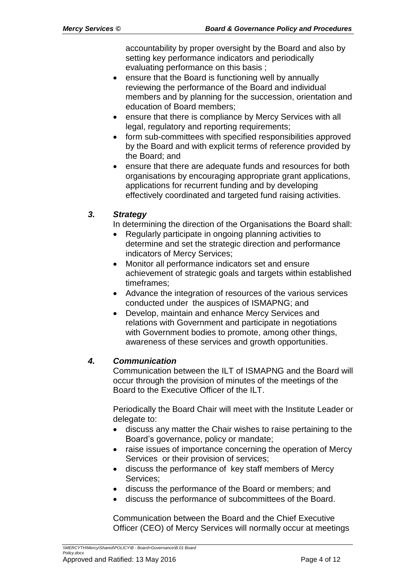accountability by proper oversight by the Board and also by setting key performance indicators and periodically evaluating performance on this basis ;

- ensure that the Board is functioning well by annually reviewing the performance of the Board and individual members and by planning for the succession, orientation and education of Board members;
- ensure that there is compliance by Mercy Services with all legal, regulatory and reporting requirements;
- form sub-committees with specified responsibilities approved by the Board and with explicit terms of reference provided by the Board; and
- ensure that there are adequate funds and resources for both organisations by encouraging appropriate grant applications, applications for recurrent funding and by developing effectively coordinated and targeted fund raising activities.

## <span id="page-3-0"></span>*3. Strategy*

In determining the direction of the Organisations the Board shall:

- Regularly participate in ongoing planning activities to determine and set the strategic direction and performance indicators of Mercy Services;
- Monitor all performance indicators set and ensure achievement of strategic goals and targets within established timeframes;
- Advance the integration of resources of the various services conducted under the auspices of ISMAPNG; and
- Develop, maintain and enhance Mercy Services and relations with Government and participate in negotiations with Government bodies to promote, among other things, awareness of these services and growth opportunities.

## <span id="page-3-1"></span>*4. Communication*

Communication between the ILT of ISMAPNG and the Board will occur through the provision of minutes of the meetings of the Board to the Executive Officer of the ILT.

Periodically the Board Chair will meet with the Institute Leader or delegate to:

- discuss any matter the Chair wishes to raise pertaining to the Board's governance, policy or mandate;
- raise issues of importance concerning the operation of Mercy Services or their provision of services;
- discuss the performance of key staff members of Mercy Services;
- discuss the performance of the Board or members; and
- discuss the performance of subcommittees of the Board.

Communication between the Board and the Chief Executive Officer (CEO) of Mercy Services will normally occur at meetings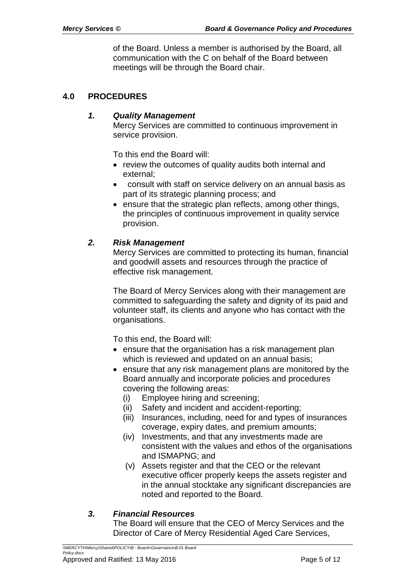of the Board. Unless a member is authorised by the Board, all communication with the C on behalf of the Board between meetings will be through the Board chair.

### <span id="page-4-1"></span><span id="page-4-0"></span>**4.0 PROCEDURES**

#### *1. Quality Management*

Mercy Services are committed to continuous improvement in service provision.

To this end the Board will:

- review the outcomes of quality audits both internal and external;
- consult with staff on service delivery on an annual basis as part of its strategic planning process; and
- ensure that the strategic plan reflects, among other things, the principles of continuous improvement in quality service provision.

### <span id="page-4-2"></span>*2. Risk Management*

Mercy Services are committed to protecting its human, financial and goodwill assets and resources through the practice of effective risk management.

The Board of Mercy Services along with their management are committed to safeguarding the safety and dignity of its paid and volunteer staff, its clients and anyone who has contact with the organisations.

To this end, the Board will:

- ensure that the organisation has a risk management plan which is reviewed and updated on an annual basis;
- ensure that any risk management plans are monitored by the Board annually and incorporate policies and procedures covering the following areas:
	- (i) Employee hiring and screening;
	- (ii) Safety and incident and accident-reporting;
	- (iii) Insurances, including, need for and types of insurances coverage, expiry dates, and premium amounts;
	- (iv) Investments, and that any investments made are consistent with the values and ethos of the organisations and ISMAPNG; and
	- (v) Assets register and that the CEO or the relevant executive officer properly keeps the assets register and in the annual stocktake any significant discrepancies are noted and reported to the Board.

## <span id="page-4-3"></span>*3. Financial Resources*

The Board will ensure that the CEO of Mercy Services and the Director of Care of Mercy Residential Aged Care Services,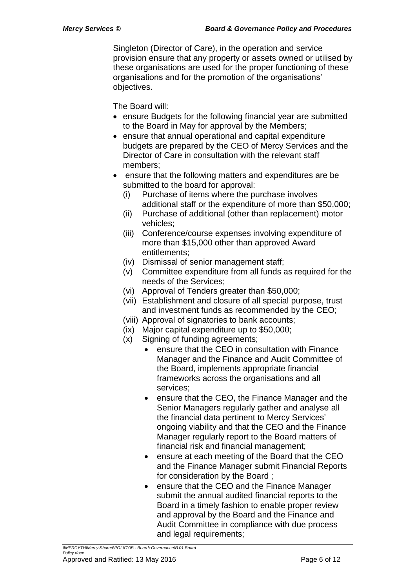Singleton (Director of Care), in the operation and service provision ensure that any property or assets owned or utilised by these organisations are used for the proper functioning of these organisations and for the promotion of the organisations' objectives.

The Board will:

- ensure Budgets for the following financial year are submitted to the Board in May for approval by the Members;
- ensure that annual operational and capital expenditure budgets are prepared by the CEO of Mercy Services and the Director of Care in consultation with the relevant staff members;
- ensure that the following matters and expenditures are be submitted to the board for approval:
	- (i) Purchase of items where the purchase involves additional staff or the expenditure of more than \$50,000;
	- (ii) Purchase of additional (other than replacement) motor vehicles;
	- (iii) Conference/course expenses involving expenditure of more than \$15,000 other than approved Award entitlements;
	- (iv) Dismissal of senior management staff;
	- (v) Committee expenditure from all funds as required for the needs of the Services;
	- (vi) Approval of Tenders greater than \$50,000;
	- (vii) Establishment and closure of all special purpose, trust and investment funds as recommended by the CEO;
	- (viii) Approval of signatories to bank accounts;
	- (ix) Major capital expenditure up to \$50,000;
	- (x) Signing of funding agreements;
		- ensure that the CEO in consultation with Finance Manager and the Finance and Audit Committee of the Board, implements appropriate financial frameworks across the organisations and all services;
		- ensure that the CEO, the Finance Manager and the Senior Managers regularly gather and analyse all the financial data pertinent to Mercy Services' ongoing viability and that the CEO and the Finance Manager regularly report to the Board matters of financial risk and financial management;
		- ensure at each meeting of the Board that the CEO and the Finance Manager submit Financial Reports for consideration by the Board ;
		- ensure that the CEO and the Finance Manager submit the annual audited financial reports to the Board in a timely fashion to enable proper review and approval by the Board and the Finance and Audit Committee in compliance with due process and legal requirements;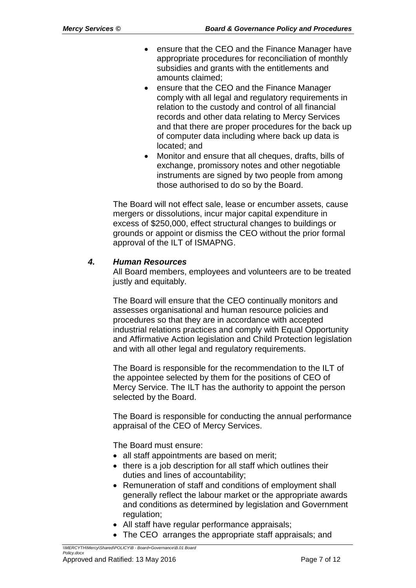- ensure that the CEO and the Finance Manager have appropriate procedures for reconciliation of monthly subsidies and grants with the entitlements and amounts claimed;
- ensure that the CEO and the Finance Manager comply with all legal and regulatory requirements in relation to the custody and control of all financial records and other data relating to Mercy Services and that there are proper procedures for the back up of computer data including where back up data is located; and
- Monitor and ensure that all cheques, drafts, bills of exchange, promissory notes and other negotiable instruments are signed by two people from among those authorised to do so by the Board.

The Board will not effect sale, lease or encumber assets, cause mergers or dissolutions, incur major capital expenditure in excess of \$250,000, effect structural changes to buildings or grounds or appoint or dismiss the CEO without the prior formal approval of the ILT of ISMAPNG.

### <span id="page-6-0"></span>*4. Human Resources*

All Board members, employees and volunteers are to be treated justly and equitably.

The Board will ensure that the CEO continually monitors and assesses organisational and human resource policies and procedures so that they are in accordance with accepted industrial relations practices and comply with Equal Opportunity and Affirmative Action legislation and Child Protection legislation and with all other legal and regulatory requirements.

The Board is responsible for the recommendation to the ILT of the appointee selected by them for the positions of CEO of Mercy Service. The ILT has the authority to appoint the person selected by the Board.

The Board is responsible for conducting the annual performance appraisal of the CEO of Mercy Services.

The Board must ensure:

- all staff appointments are based on merit;
- there is a job description for all staff which outlines their duties and lines of accountability;
- Remuneration of staff and conditions of employment shall generally reflect the labour market or the appropriate awards and conditions as determined by legislation and Government regulation;
- All staff have regular performance appraisals;
- The CEO arranges the appropriate staff appraisals; and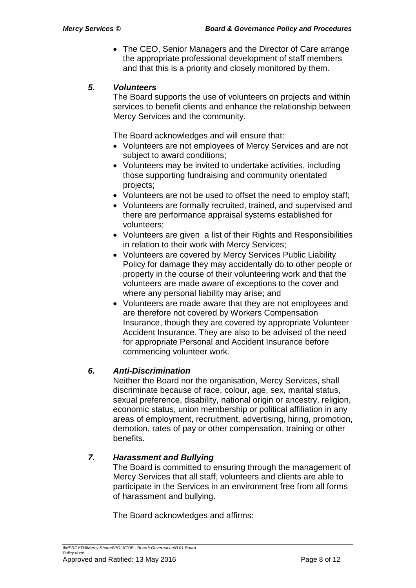• The CEO, Senior Managers and the Director of Care arrange the appropriate professional development of staff members and that this is a priority and closely monitored by them.

#### <span id="page-7-0"></span>*5. Volunteers*

The Board supports the use of volunteers on projects and within services to benefit clients and enhance the relationship between Mercy Services and the community.

The Board acknowledges and will ensure that:

- Volunteers are not employees of Mercy Services and are not subject to award conditions;
- Volunteers may be invited to undertake activities, including those supporting fundraising and community orientated projects;
- Volunteers are not be used to offset the need to employ staff;
- Volunteers are formally recruited, trained, and supervised and there are performance appraisal systems established for volunteers;
- Volunteers are given a list of their Rights and Responsibilities in relation to their work with Mercy Services;
- Volunteers are covered by Mercy Services Public Liability Policy for damage they may accidentally do to other people or property in the course of their volunteering work and that the volunteers are made aware of exceptions to the cover and where any personal liability may arise; and
- Volunteers are made aware that they are not employees and are therefore not covered by Workers Compensation Insurance, though they are covered by appropriate Volunteer Accident Insurance. They are also to be advised of the need for appropriate Personal and Accident Insurance before commencing volunteer work.

#### <span id="page-7-1"></span>*6. Anti-Discrimination*

Neither the Board nor the organisation, Mercy Services, shall discriminate because of race, colour, age, sex, marital status, sexual preference, disability, national origin or ancestry, religion, economic status, union membership or political affiliation in any areas of employment, recruitment, advertising, hiring, promotion, demotion, rates of pay or other compensation, training or other benefits.

#### <span id="page-7-2"></span>*7. Harassment and Bullying*

The Board is committed to ensuring through the management of Mercy Services that all staff, volunteers and clients are able to participate in the Services in an environment free from all forms of harassment and bullying.

The Board acknowledges and affirms: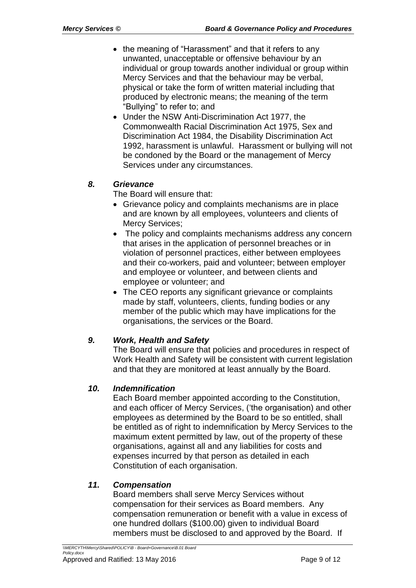- the meaning of "Harassment" and that it refers to any unwanted, unacceptable or offensive behaviour by an individual or group towards another individual or group within Mercy Services and that the behaviour may be verbal, physical or take the form of written material including that produced by electronic means; the meaning of the term "Bullying" to refer to; and
- Under the NSW Anti-Discrimination Act 1977, the Commonwealth Racial Discrimination Act 1975, Sex and Discrimination Act 1984, the Disability Discrimination Act 1992, harassment is unlawful. Harassment or bullying will not be condoned by the Board or the management of Mercy Services under any circumstances.

## <span id="page-8-0"></span>*8. Grievance*

The Board will ensure that:

- Grievance policy and complaints mechanisms are in place and are known by all employees, volunteers and clients of Mercy Services;
- The policy and complaints mechanisms address any concern that arises in the application of personnel breaches or in violation of personnel practices, either between employees and their co-workers, paid and volunteer; between employer and employee or volunteer, and between clients and employee or volunteer; and
- The CEO reports any significant grievance or complaints made by staff, volunteers, clients, funding bodies or any member of the public which may have implications for the organisations, the services or the Board.

## <span id="page-8-1"></span>*9. Work, Health and Safety*

The Board will ensure that policies and procedures in respect of Work Health and Safety will be consistent with current legislation and that they are monitored at least annually by the Board.

## <span id="page-8-2"></span>*10. Indemnification*

Each Board member appointed according to the Constitution, and each officer of Mercy Services, ('the organisation) and other employees as determined by the Board to be so entitled, shall be entitled as of right to indemnification by Mercy Services to the maximum extent permitted by law, out of the property of these organisations, against all and any liabilities for costs and expenses incurred by that person as detailed in each Constitution of each organisation.

## <span id="page-8-3"></span>*11. Compensation*

Board members shall serve Mercy Services without compensation for their services as Board members. Any compensation remuneration or benefit with a value in excess of one hundred dollars (\$100.00) given to individual Board members must be disclosed to and approved by the Board. If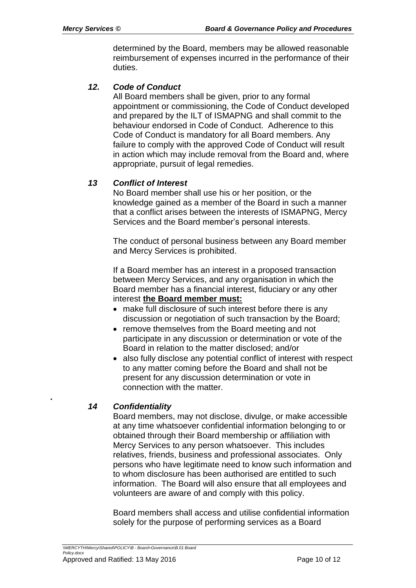determined by the Board, members may be allowed reasonable reimbursement of expenses incurred in the performance of their duties.

#### <span id="page-9-0"></span>*12. Code of Conduct*

All Board members shall be given, prior to any formal appointment or commissioning, the Code of Conduct developed and prepared by the ILT of ISMAPNG and shall commit to the behaviour endorsed in Code of Conduct. Adherence to this Code of Conduct is mandatory for all Board members. Any failure to comply with the approved Code of Conduct will result in action which may include removal from the Board and, where appropriate, pursuit of legal remedies.

#### <span id="page-9-1"></span>*13 Conflict of Interest*

No Board member shall use his or her position, or the knowledge gained as a member of the Board in such a manner that a conflict arises between the interests of ISMAPNG, Mercy Services and the Board member's personal interests.

The conduct of personal business between any Board member and Mercy Services is prohibited.

If a Board member has an interest in a proposed transaction between Mercy Services, and any organisation in which the Board member has a financial interest, fiduciary or any other interest **the Board member must:**

- make full disclosure of such interest before there is any discussion or negotiation of such transaction by the Board;
- remove themselves from the Board meeting and not participate in any discussion or determination or vote of the Board in relation to the matter disclosed; and/or
- also fully disclose any potential conflict of interest with respect to any matter coming before the Board and shall not be present for any discussion determination or vote in connection with the matter.

#### *14 Confidentiality*

<span id="page-9-2"></span>**.**

Board members, may not disclose, divulge, or make accessible at any time whatsoever confidential information belonging to or obtained through their Board membership or affiliation with Mercy Services to any person whatsoever. This includes relatives, friends, business and professional associates. Only persons who have legitimate need to know such information and to whom disclosure has been authorised are entitled to such information. The Board will also ensure that all employees and volunteers are aware of and comply with this policy.

Board members shall access and utilise confidential information solely for the purpose of performing services as a Board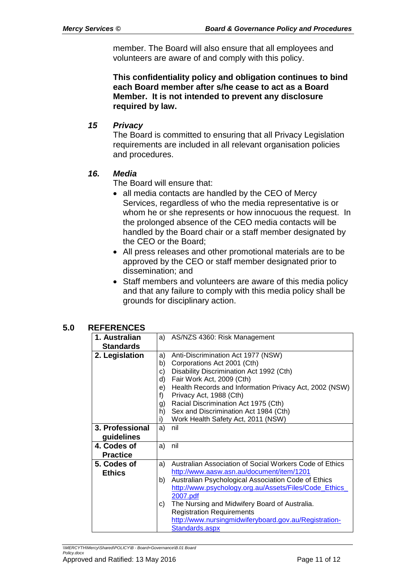member. The Board will also ensure that all employees and volunteers are aware of and comply with this policy.

**This confidentiality policy and obligation continues to bind each Board member after s/he cease to act as a Board Member. It is not intended to prevent any disclosure required by law.**

#### <span id="page-10-0"></span>*15 Privacy*

The Board is committed to ensuring that all Privacy Legislation requirements are included in all relevant organisation policies and procedures.

### <span id="page-10-1"></span>*16. Media*

The Board will ensure that:

- all media contacts are handled by the CEO of Mercy Services, regardless of who the media representative is or whom he or she represents or how innocuous the request. In the prolonged absence of the CEO media contacts will be handled by the Board chair or a staff member designated by the CEO or the Board;
- All press releases and other promotional materials are to be approved by the CEO or staff member designated prior to dissemination; and
- Staff members and volunteers are aware of this media policy and that any failure to comply with this media policy shall be grounds for disciplinary action.

#### **5.0 REFERENCES**

| 1. Australian    |    | a) AS/NZS 4360: Risk Management                         |
|------------------|----|---------------------------------------------------------|
| <b>Standards</b> |    |                                                         |
| 2. Legislation   | a) | Anti-Discrimination Act 1977 (NSW)                      |
|                  | b) | Corporations Act 2001 (Cth)                             |
|                  | c) | Disability Discrimination Act 1992 (Cth)                |
|                  | d) | Fair Work Act, 2009 (Cth)                               |
|                  | e) | Health Records and Information Privacy Act, 2002 (NSW)  |
|                  | f) | Privacy Act, 1988 (Cth)                                 |
|                  | g) | Racial Discrimination Act 1975 (Cth)                    |
|                  | h) | Sex and Discrimination Act 1984 (Cth)                   |
|                  | i) | Work Health Safety Act, 2011 (NSW)                      |
| 3. Professional  | a) | nil                                                     |
| guidelines       |    |                                                         |
| 4. Codes of      | a) | nil                                                     |
| <b>Practice</b>  |    |                                                         |
| 5. Codes of      | a) | Australian Association of Social Workers Code of Ethics |
| <b>Ethics</b>    |    | http://www.aasw.asn.au/document/item/1201               |
|                  | b) | Australian Psychological Association Code of Ethics     |
|                  |    | http://www.psychology.org.au/Assets/Files/Code_Ethics_  |
|                  |    | 2007.pdf                                                |
|                  | C) | The Nursing and Midwifery Board of Australia.           |
|                  |    | <b>Registration Requirements</b>                        |
|                  |    | http://www.nursingmidwiferyboard.gov.au/Registration-   |
|                  |    | Standards.aspx                                          |

*\\MERCYTH\Mercy\Shared\POLICY\B - Board+Governance\B.01 Board Policy.docx*